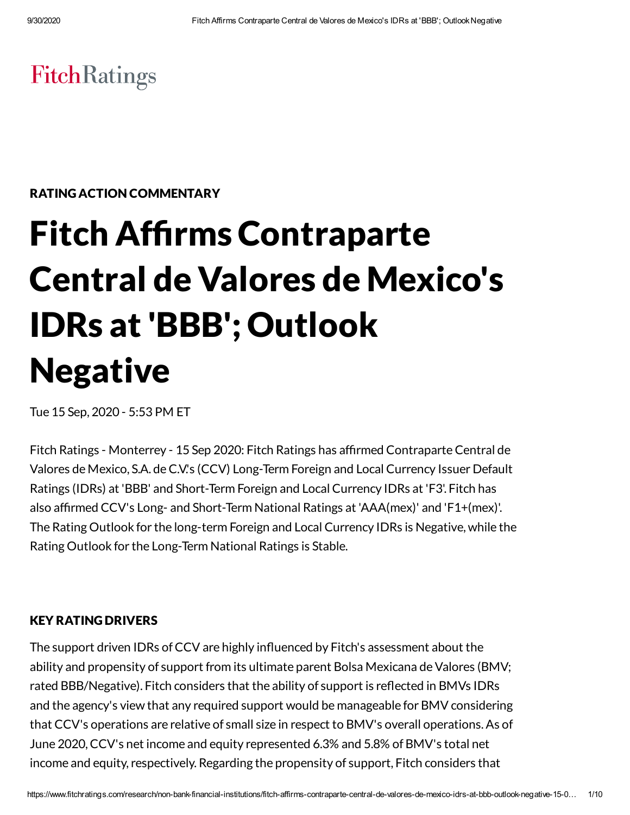# **FitchRatings**

RATING ACTION COMMENTARY

# **Fitch Affirms Contraparte** Central de Valores de Mexico's IDRs at 'BBB'; Outlook Negative

Tue 15 Sep, 2020 - 5:53 PM ET

Fitch Ratings - Monterrey - 15 Sep 2020: Fitch Ratings has affirmed Contraparte Central de Valores de Mexico, S.A. de C.V.'s (CCV) Long-Term Foreign and Local Currency Issuer Default Ratings (IDRs) at 'BBB' and Short-Term Foreign and Local Currency IDRs at 'F3'. Fitch has also afrmed CCV's Long- and Short-Term National Ratings at 'AAA(mex)' and 'F1+(mex)'. The Rating Outlook for the long-term Foreign and Local Currency IDRs is Negative, while the Rating Outlook for the Long-Term National Ratings is Stable.

#### KEY RATING DRIVERS

The support driven IDRs of CCV are highly influenced by Fitch's assessment about the ability and propensity of support from its ultimate parent Bolsa Mexicana de Valores (BMV; rated BBB/Negative). Fitch considers that the ability of support is reflected in BMVs IDRs and the agency's view that any required support would be manageable for BMV considering that CCV's operations are relative of small size in respect to BMV's overall operations.As of June 2020,CCV's net income and equity represented 6.3% and 5.8% of BMV's total net income and equity, respectively. Regarding the propensity of support, Fitch considers that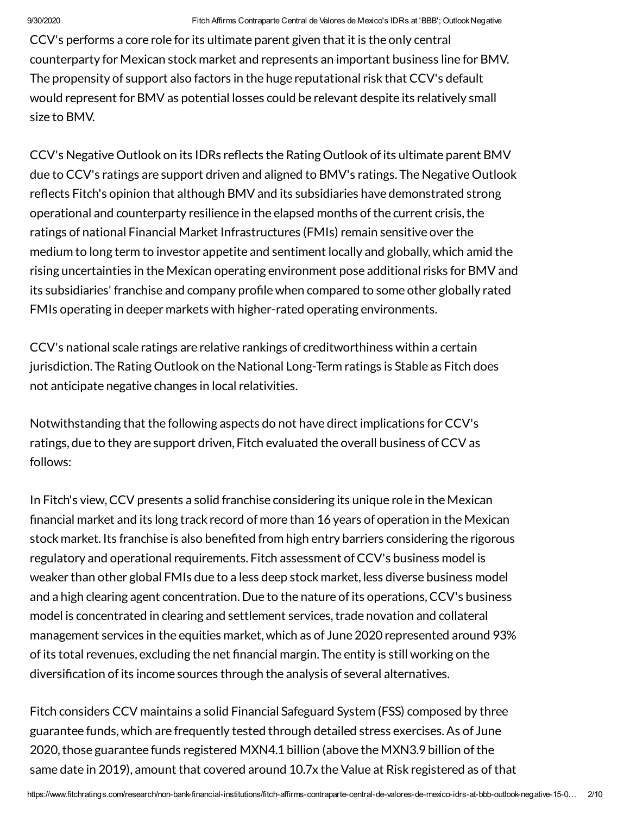CCV's performs a core role for its ultimate parent given that it is the only central counterparty for Mexican stock market and represents an important business line forBMV. The propensity of support also factors in the huge reputational risk that CCV's default would represent forBMV as potential losses could be relevant despite its relatively small size to BMV.

CCV's Negative Outlook on its IDRs reflects the Rating Outlook of its ultimate parent BMV due to CCV's ratings are support driven and aligned to BMV's ratings. The Negative Outlook reflects Fitch's opinion that although BMV and its subsidiaries have demonstrated strong operational and counterparty resilience in the elapsed months ofthe current crisis,the ratings of national Financial Market Infrastructures (FMIs) remain sensitive over the medium to long term to investor appetite and sentiment locally and globally, which amid the rising uncertainties in the Mexican operating environment pose additional risks forBMV and its subsidiaries' franchise and company profile when compared to some other globally rated FMIs operating in deeper markets with higher-rated operating environments.

CCV's national scale ratings are relative rankings of creditworthiness within a certain jurisdiction. The Rating Outlook on the National Long-Term ratings is Stable as Fitch does not anticipate negative changes in local relativities.

Notwithstanding that the following aspects do not have direct implications forCCV's ratings, due to they are support driven, Fitch evaluated the overall business of CCV as follows:

In Fitch's view,CCV presents a solid franchise considering its unique role in the Mexican nancial market and its long track record of more than 16 years of operation in the Mexican stock market. Its franchise is also benefited from high entry barriers considering the rigorous regulatory and operational requirements. Fitch assessment of CCV's business model is weaker than other global FMIs due to a less deep stock market, less diverse business model and a high clearing agent concentration. Due to the nature of its operations, CCV's business model is concentrated in clearing and settlement services, trade novation and collateral management services in the equities market, which as of June 2020 represented around 93% of its total revenues, excluding the net financial margin. The entity is still working on the diversification of its income sources through the analysis of several alternatives.

Fitch considers CCV maintains a solid Financial Safeguard System (FSS) composed by three guarantee funds, which are frequently tested through detailed stress exercises.As of June 2020, those guarantee funds registered MXN4.1 billion (above the MXN3.9 billion of the same date in 2019), amount that covered around 10.7x the Value at Risk registered as of that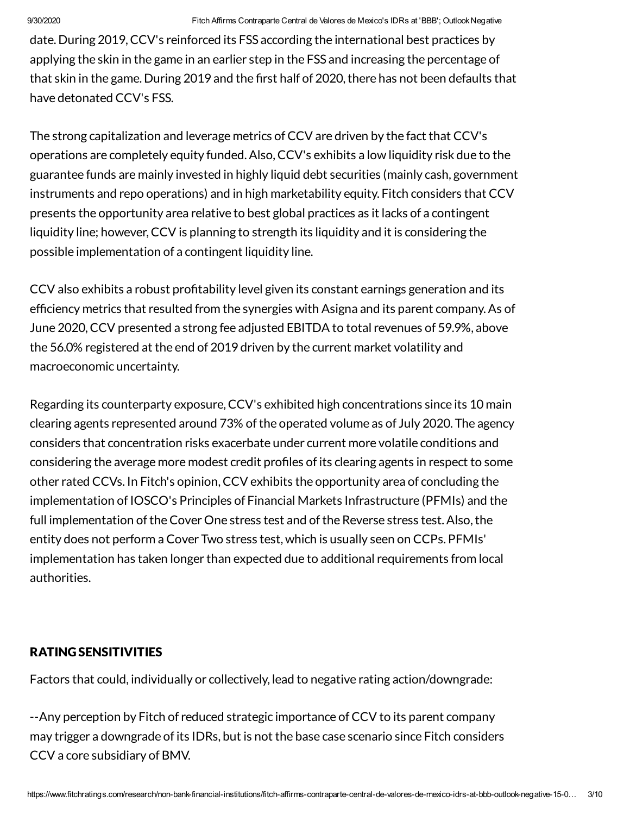date. During 2019,CCV's reinforced its FSS according the international best practices by applying the skin in the game in an earlier step in the FSS and increasing the percentage of that skin in the game. During 2019 and the first half of 2020, there has not been defaults that have detonated CCV's FSS.

The strong capitalization and leverage metrics of CCV are driven by the fact that CCV's operations are completely equity funded.Also,CCV's exhibits a low liquidity risk due to the guarantee funds are mainly invested in highly liquid debt securities (mainly cash, government instruments and repo operations) and in high marketability equity. Fitch considers that CCV presents the opportunity area relative to best global practices as it lacks of a contingent liquidity line; however, CCV is planning to strength its liquidity and it is considering the possible implementation of a contingent liquidity line.

CCV also exhibits a robust profitability level given its constant earnings generation and its efficiency metrics that resulted from the synergies with Asigna and its parent company. As of June 2020,CCV presented a strong fee adjusted EBITDA to total revenues of 59.9%, above the 56.0% registered at the end of 2019 driven by the current market volatility and macroeconomic uncertainty.

Regarding its counterparty exposure, CCV's exhibited high concentrations since its 10 main clearing agents represented around 73% of the operated volume as of July 2020. The agency considers that concentration risks exacerbate under current more volatile conditions and considering the average more modest credit profiles of its clearing agents in respect to some other rated CCVs. In Fitch's opinion,CCV exhibits the opportunity area of concluding the implementation of IOSCO's Principles of Financial Markets Infrastructure (PFMIs) and the full implementation of the Cover One stress test and of the Reverse stress test. Also, the entity does not perform a Cover Two stress test, which is usually seen on CCPs. PFMIs' implementation has taken longer than expected due to additional requirements from local authorities.

### RATING SENSITIVITIES

Factors that could, individually or collectively, lead to negative rating action/downgrade:

--Any perception by Fitch of reduced strategic importance ofCCV to its parent company may trigger a downgrade of its IDRs, but is not the base case scenario since Fitch considers CCV a core subsidiary of BMV.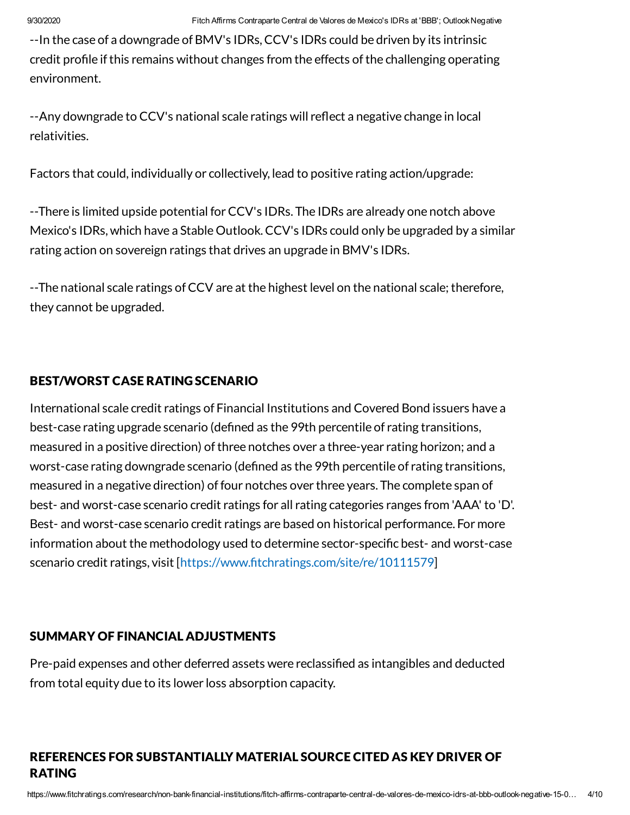--In the case of a downgrade of BMV's IDRs,CCV's IDRs could be driven by its intrinsic credit profile if this remains without changes from the effects of the challenging operating environment.

--Any downgrade to CCV's national scale ratings will reflect a negative change in local relativities.

Factors that could, individually or collectively, lead to positive rating action/upgrade:

--There is limited upside potential for CCV's IDRs. The IDRs are already one notch above Mexico's IDRs, which have a Stable Outlook.CCV's IDRs could only be upgraded by a similar rating action on sovereign ratings that drives an upgrade in BMV's IDRs.

--The national scale ratings of CCV are at the highest level on the national scale; therefore, they cannot be upgraded.

#### BEST/WORST CASE RATING SCENARIO

International scale credit ratings of Financial Institutions and Covered Bond issuers have a best-case rating upgrade scenario (defined as the 99th percentile of rating transitions, measured in a positive direction) of three notches over a three-year rating horizon; and a worst-case rating downgrade scenario (defined as the 99th percentile of rating transitions, measured in a negative direction) of four notches over three years. The complete span of best- and worst-case scenario credit ratings for all rating categories ranges from 'AAA' to 'D'. Best- and worst-case scenario credit ratings are based on historical performance. For more information about the methodology used to determine sector-specific best- and worst-case scenario credit ratings, visit [https://www.fitchratings.com/site/re/10111579]

#### SUMMARY OF FINANCIAL ADJUSTMENTS

Pre-paid expenses and other deferred assets were reclassified as intangibles and deducted from total equity due to its lower loss absorption capacity.

# REFERENCES FOR SUBSTANTIALLY MATERIAL SOURCE CITED AS KEY DRIVER OF RATING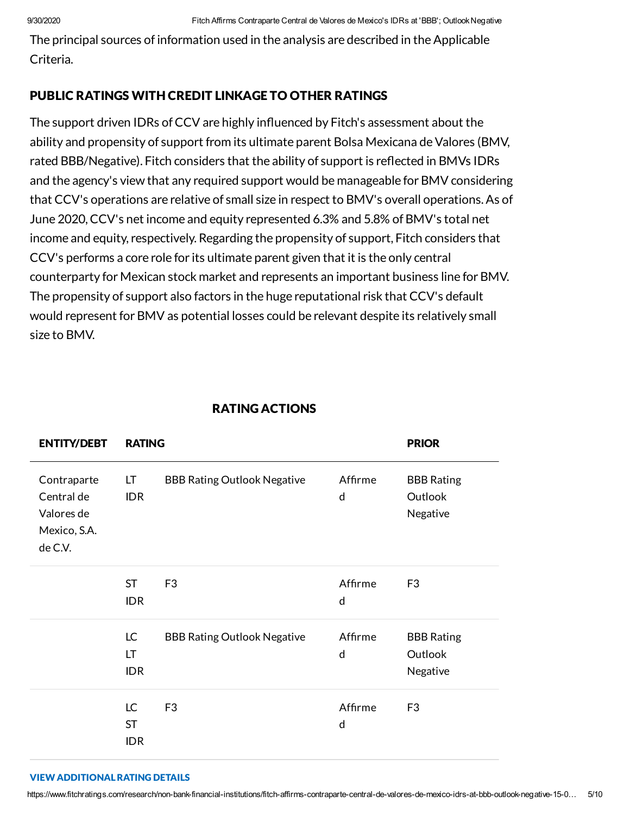The principal sources of information used in the analysis are described in the Applicable Criteria.

### PUBLIC RATINGS WITH CREDIT LINKAGE TO OTHER RATINGS

The support driven IDRs of CCV are highly influenced by Fitch's assessment about the ability and propensity of support from its ultimate parent Bolsa Mexicana de Valores (BMV, rated BBB/Negative). Fitch considers that the ability of support is reflected in BMVs IDRs and the agency's view that any required support would be manageable for BMV considering that CCV's operations are relative of small size in respect to BMV's overall operations.As of June 2020,CCV's net income and equity represented 6.3% and 5.8% of BMV's total net income and equity, respectively. Regarding the propensity of support, Fitch considers that CCV's performs a core role for its ultimate parent given that it is the only central counterparty for Mexican stock market and represents an important business line forBMV. The propensity of support also factors in the huge reputational risk that CCV's default would represent forBMV as potential losses could be relevant despite its relatively small size to BMV.

|  | <b>RATING ACTIONS</b> |
|--|-----------------------|
|  |                       |

| <b>ENTITY/DEBT</b>                                                 | <b>RATING</b>                 |                                    | <b>PRIOR</b>            |                                          |
|--------------------------------------------------------------------|-------------------------------|------------------------------------|-------------------------|------------------------------------------|
| Contraparte<br>Central de<br>Valores de<br>Mexico, S.A.<br>de C.V. | LT<br><b>IDR</b>              | <b>BBB Rating Outlook Negative</b> | Affirme<br>$\mathsf{d}$ | <b>BBB Rating</b><br>Outlook<br>Negative |
|                                                                    | <b>ST</b><br><b>IDR</b>       | F <sub>3</sub>                     | Affirme<br>d            | F <sub>3</sub>                           |
|                                                                    | LC<br>LT<br><b>IDR</b>        | <b>BBB Rating Outlook Negative</b> | Affirme<br>$\mathsf{d}$ | <b>BBB Rating</b><br>Outlook<br>Negative |
|                                                                    | LC<br><b>ST</b><br><b>IDR</b> | F <sub>3</sub>                     | Affirme<br>d            | F <sub>3</sub>                           |

#### VIEW ADDITIONALRATING DETAILS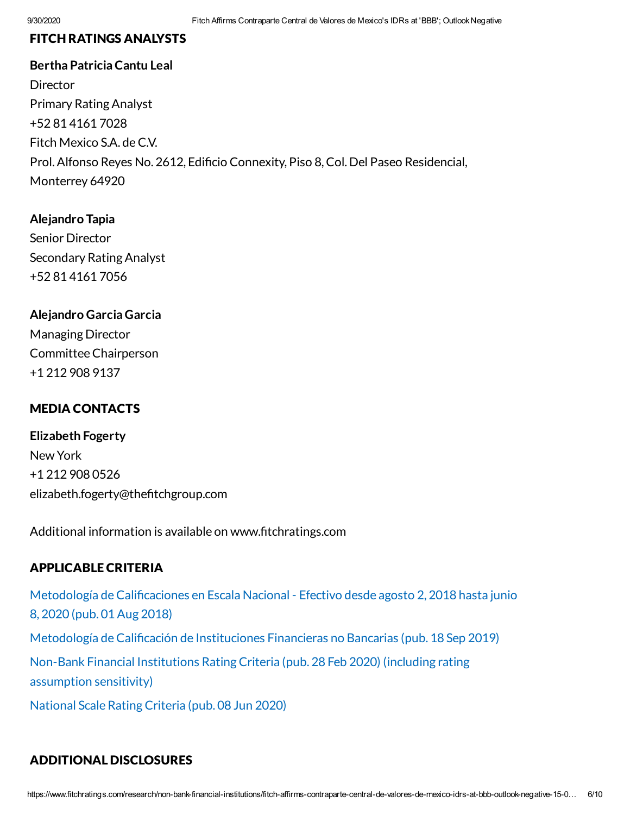### FITCH RATINGS ANALYSTS

**Bertha PatriciaCantu Leal Director** Primary Rating Analyst +52 81 4161 7028 Fitch Mexico S.A. deC.V. Prol. Alfonso Reyes No. 2612, Edificio Connexity, Piso 8, Col. Del Paseo Residencial, Monterrey 64920

**Alejandro Tapia** Senior Director Secondary Rating Analyst +52 81 4161 7056

#### **Alejandro Garcia Garcia**

Managing Director CommitteeChairperson +1 212 908 9137

#### MEDIA CONTACTS

**Elizabeth Fogerty** New York +1 212 908 0526 elizabeth.fogerty@thefitchgroup.com

Additional information is available on www.fitchratings.com

### APPLICABLE CRITERIA

Metodología de Calificaciones en Escala Nacional - Efectivo desde agosto 2, 2018 hasta junio 8, 2020 (pub. 01Aug 2018) Metodología de Calificación de Instituciones Financieras no Bancarias (pub. 18 Sep 2019) Non-Bank Financial [Institutions](https://www.fitchratings.com/research/non-bank-financial-institutions/non-bank-financial-institutions-rating-criteria-28-02-2020) Rating Criteria (pub. 28 Feb 2020) (including rating assumption sensitivity) [National](https://www.fitchratings.com/research/corporate-finance/national-scale-rating-criteria-08-06-2020) Scale Rating Criteria (pub. 08 Jun 2020)

# ADDITIONAL DISCLOSURES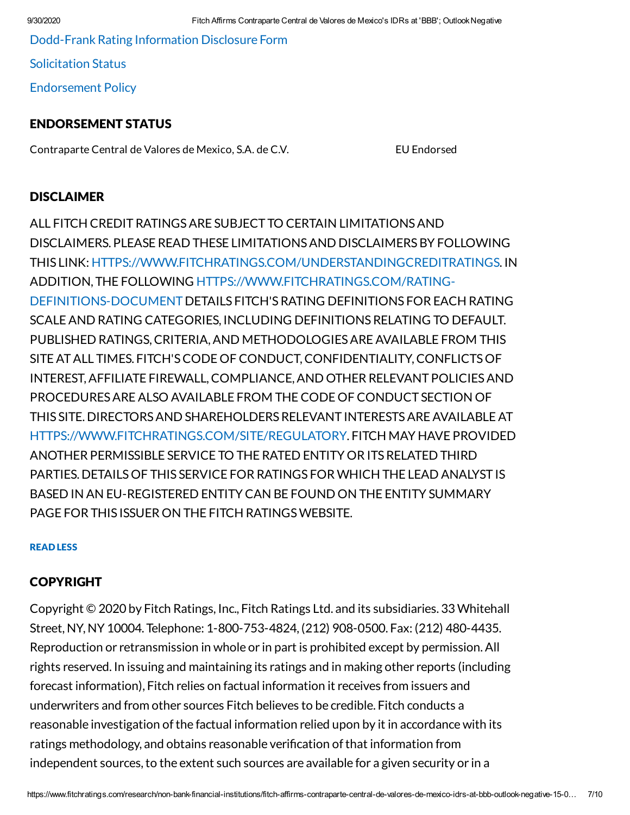[Dodd-Frank](https://www.fitchratings.com/research/non-bank-financial-institutions/fitch-affirms-contraparte-central-de-valores-de-mexico-idrs-at-bbb-outlook-negative-15-09-2020/dodd-frank-disclosure) Rating Information Disclosure Form

[Solicitation](#page-8-0) Status

[Endorsement](#page-8-1) Policy

#### ENDORSEMENT STATUS

Contraparte Central de Valores de Mexico, S.A. de C.V. EU Endorsed

## DISCLAIMER

ALL FITCH CREDITRATINGSARE SUBJECT TO CERTAIN LIMITATIONSAND DISCLAIMERS. PLEASE READ THESE LIMITATIONSAND DISCLAIMERSBY FOLLOWING THIS LINK: [HTTPS://WWW.FITCHRATINGS.COM/UNDERSTANDINGCREDITRATINGS.](https://www.fitchratings.com/UNDERSTANDINGCREDITRATINGS) IN ADDITION, THE FOLLOWING [HTTPS://WWW.FITCHRATINGS.COM/RATING-](https://www.fitchratings.com/rating-definitions-document)DEFINITIONS-DOCUMENT DETAILS FITCH'SRATING DEFINITIONS FOR EACH RATING SCALEAND RATING CATEGORIES, INCLUDING DEFINITIONSRELATING TO DEFAULT. PUBLISHED RATINGS,CRITERIA,AND METHODOLOGIESAREAVAILABLE FROM THIS SITEATALL TIMES. FITCH'SCODE OF CONDUCT,CONFIDENTIALITY,CONFLICTSOF INTEREST,AFFILIATE FIREWALL,COMPLIANCE,AND OTHER RELEVANT POLICIESAND PROCEDURESAREALSO AVAILABLE FROM THECODE OF CONDUCT SECTION OF THIS SITE. DIRECTORSAND SHAREHOLDERSRELEVANT INTERESTSAREAVAILABLEAT [HTTPS://WWW.FITCHRATINGS.COM/SITE/REGULATORY](https://www.fitchratings.com/site/regulatory). FITCH MAY HAVE PROVIDED ANOTHER PERMISSIBLE SERVICE TO THE RATED ENTITY OR ITSRELATED THIRD PARTIES. DETAILSOF THIS SERVICE FOR RATINGS FORWHICH THE LEAD ANALYST IS BASED IN AN EU-REGISTERED ENTITY CAN BE FOUND ON THE ENTITY SUMMARY PAGE FOR THIS ISSUER ON THE FITCH RATINGSWEBSITE.

#### READ LESS

### COPYRIGHT

Copyright © 2020 by Fitch Ratings, Inc., Fitch Ratings Ltd. and its subsidiaries. 33 Whitehall Street, NY, NY 10004. Telephone: 1-800-753-4824, (212) 908-0500. Fax: (212) 480-4435. Reproduction or retransmission in whole or in part is prohibited except by permission.All rights reserved. In issuing and maintaining its ratings and in making other reports (including forecast information), Fitch relies on factual information it receives from issuers and underwriters and from other sources Fitch believes to be credible. Fitch conducts a reasonable investigation ofthe factual information relied upon by it in accordance with its ratings methodology, and obtains reasonable verification of that information from independent sources, to the extent such sources are available for a given security or in a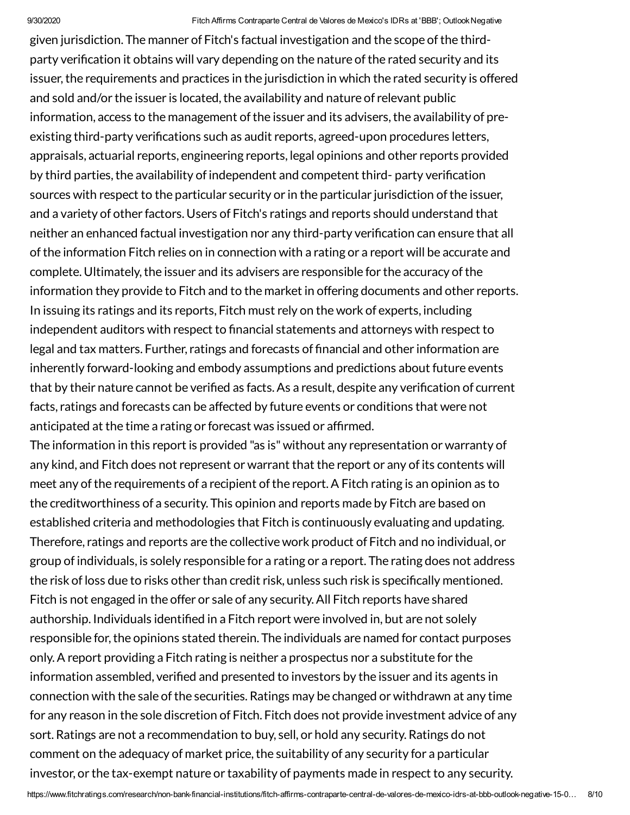given jurisdiction. The manner of Fitch's factual investigation and the scope ofthe thirdparty verification it obtains will vary depending on the nature of the rated security and its issuer, the requirements and practices in the jurisdiction in which the rated security is offered and sold and/or the issuer is located, the availability and nature of relevant public information, access to the management of the issuer and its advisers, the availability of preexisting third-party verifications such as audit reports, agreed-upon procedures letters, appraisals, actuarial reports, engineering reports, legal opinions and other reports provided by third parties, the availability of independent and competent third- party verification sources with respect to the particular security or in the particular jurisdiction of the issuer, and a variety of other factors. Users of Fitch's ratings and reports should understand that neither an enhanced factual investigation nor any third-party verification can ensure that all ofthe information Fitch relies on in connection with a rating or a report will be accurate and complete. Ultimately, the issuer and its advisers are responsible for the accuracy of the information they provide to Fitch and to the market in offering documents and other reports. In issuing its ratings and its reports, Fitch must rely on the work of experts, including independent auditors with respect to financial statements and attorneys with respect to legal and tax matters. Further, ratings and forecasts of financial and other information are inherently forward-looking and embody assumptions and predictions about future events that by their nature cannot be verified as facts. As a result, despite any verification of current facts, ratings and forecasts can be affected by future events or conditions that were not anticipated at the time a rating or forecast was issued or affirmed.

The information in this report is provided "as is" without any representation or warranty of any kind, and Fitch does not represent or warrant that the report or any of its contents will meet any of the requirements of a recipient of the report. A Fitch rating is an opinion as to the creditworthiness of a security. This opinion and reports made by Fitch are based on established criteria and methodologies that Fitch is continuously evaluating and updating. Therefore, ratings and reports are the collective work product of Fitch and no individual, or group of individuals, is solely responsible for a rating or a report. The rating does not address the risk of loss due to risks other than credit risk, unless such risk is specifically mentioned. Fitch is not engaged in the offer or sale of any security.All Fitch reports have shared authorship. Individuals identified in a Fitch report were involved in, but are not solely responsible for, the opinions stated therein. The individuals are named for contact purposes only.A report providing a Fitch rating is neither a prospectus nor a substitute for the information assembled, verified and presented to investors by the issuer and its agents in connection with the sale of the securities. Ratings may be changed or withdrawn at any time for any reason in the sole discretion of Fitch. Fitch does not provide investment advice of any sort. Ratings are not a recommendation to buy, sell, or hold any security. Ratings do not comment on the adequacy of market price, the suitability of any security for a particular investor, or the tax-exempt nature or taxability of payments made in respect to any security.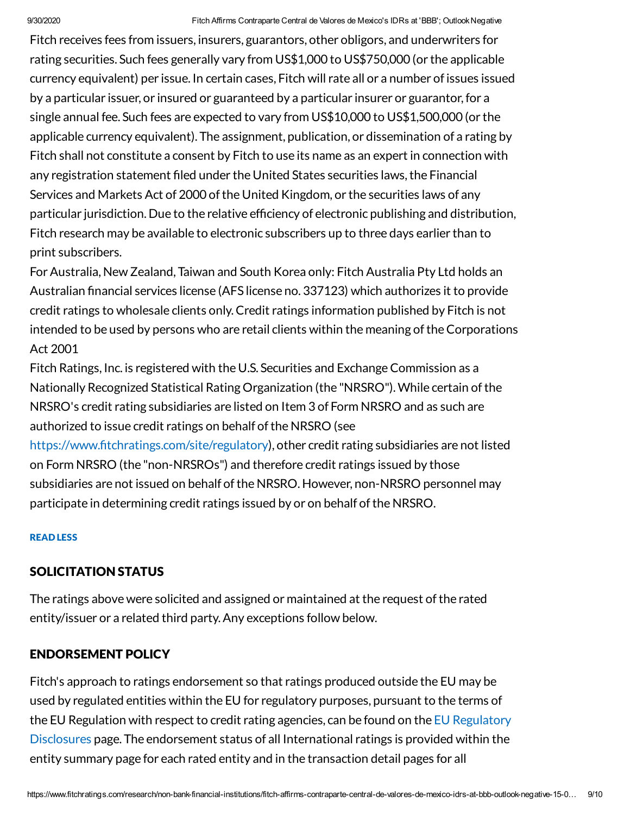Fitch receives fees from issuers, insurers, guarantors, other obligors, and underwriters for rating securities. Such fees generally vary from US\$1,000 to US\$750,000 (or the applicable currency equivalent) per issue. In certain cases, Fitch will rate all or a number of issues issued by a particular issuer, or insured or guaranteed by a particular insurer or guarantor,for a single annual fee. Such fees are expected to vary from US\$10,000 to US\$1,500,000 (or the applicable currency equivalent). The assignment, publication, or dissemination of a rating by Fitch shall not constitute a consent by Fitch to use its name as an expert in connection with any registration statement filed under the United States securities laws, the Financial Services and Markets Act of 2000 of the United Kingdom, or the securities laws of any particular jurisdiction. Due to the relative efficiency of electronic publishing and distribution, Fitch research may be available to electronic subscribers up to three days earlier than to print subscribers.

ForAustralia, New Zealand, Taiwan and South Korea only: Fitch Australia Pty Ltd holds an Australian financial services license (AFS license no. 337123) which authorizes it to provide credit ratings to wholesale clients only.Credit ratings information published by Fitch is not intended to be used by persons who are retail clients within the meaning of the Corporations Act 2001

Fitch Ratings, Inc. is registered with the U.S. Securities and Exchange Commission as a Nationally Recognized Statistical Rating Organization (the "NRSRO").While certain ofthe NRSRO's credit rating subsidiaries are listed on Item 3 of Form NRSRO and as such are authorized to issue credit ratings on behalf of the NRSRO (see

https://www.fitchratings.com/site/regulatory), other credit rating subsidiaries are not listed on Form NRSRO (the "non-NRSROs") and therefore credit ratings issued by those subsidiaries are not issued on behalf of the NRSRO. However, non-NRSRO personnel may participate in determining credit ratings issued by or on behalf of the NRSRO.

#### READ LESS

#### <span id="page-8-0"></span>SOLICITATION STATUS

The ratings above were solicited and assigned or maintained at the request of the rated entity/issuer or a related third party.Any exceptions follow below.

#### <span id="page-8-1"></span>ENDORSEMENT POLICY

Fitch's approach to ratings endorsement so that ratings produced outside the EU may be used by regulated entities within the EU for regulatory purposes, pursuant to the terms of the EU Regulation with respect to credit rating agencies, can be found on the EU Regulatory Disclosures page. The [endorsement](https://www.fitchratings.com/regulatory) status of all International ratings is provided within the entity summary page for each rated entity and in the transaction detail pages for all